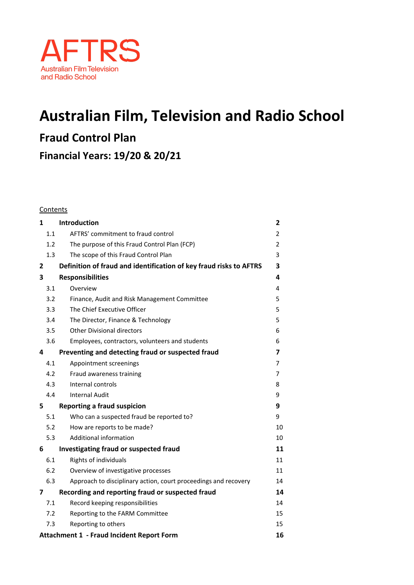

# **Australian Film, Television and Radio School**

**Fraud Control Plan** 

**Financial Years: 19/20 & 20/21**

#### Contents

| 1                                                      |     | <b>Introduction</b>                                                | 2  |
|--------------------------------------------------------|-----|--------------------------------------------------------------------|----|
|                                                        | 1.1 | AFTRS' commitment to fraud control                                 | 2  |
|                                                        | 1.2 | The purpose of this Fraud Control Plan (FCP)                       | 2  |
|                                                        | 1.3 | The scope of this Fraud Control Plan                               | 3  |
| 2                                                      |     | Definition of fraud and identification of key fraud risks to AFTRS | 3  |
| 3                                                      |     | <b>Responsibilities</b>                                            | 4  |
|                                                        | 3.1 | Overview                                                           | 4  |
|                                                        | 3.2 | Finance, Audit and Risk Management Committee                       | 5  |
|                                                        | 3.3 | The Chief Executive Officer                                        | 5  |
|                                                        | 3.4 | The Director, Finance & Technology                                 | 5  |
|                                                        | 3.5 | <b>Other Divisional directors</b>                                  | 6  |
|                                                        | 3.6 | Employees, contractors, volunteers and students                    | 6  |
| 4                                                      |     | Preventing and detecting fraud or suspected fraud                  | 7  |
|                                                        | 4.1 | Appointment screenings                                             | 7  |
|                                                        | 4.2 | Fraud awareness training                                           | 7  |
|                                                        | 4.3 | Internal controls                                                  | 8  |
|                                                        | 4.4 | <b>Internal Audit</b>                                              | 9  |
| 5                                                      |     | <b>Reporting a fraud suspicion</b>                                 | 9  |
|                                                        | 5.1 | Who can a suspected fraud be reported to?                          | 9  |
|                                                        | 5.2 | How are reports to be made?                                        | 10 |
|                                                        | 5.3 | Additional information                                             | 10 |
| 6                                                      |     | Investigating fraud or suspected fraud                             | 11 |
|                                                        | 6.1 | Rights of individuals                                              | 11 |
|                                                        | 6.2 | Overview of investigative processes                                | 11 |
|                                                        | 6.3 | Approach to disciplinary action, court proceedings and recovery    | 14 |
| 7                                                      |     | Recording and reporting fraud or suspected fraud                   | 14 |
|                                                        | 7.1 | Record keeping responsibilities                                    | 14 |
|                                                        | 7.2 | Reporting to the FARM Committee                                    | 15 |
|                                                        | 7.3 | Reporting to others                                                | 15 |
| <b>Attachment 1 - Fraud Incident Report Form</b><br>16 |     |                                                                    |    |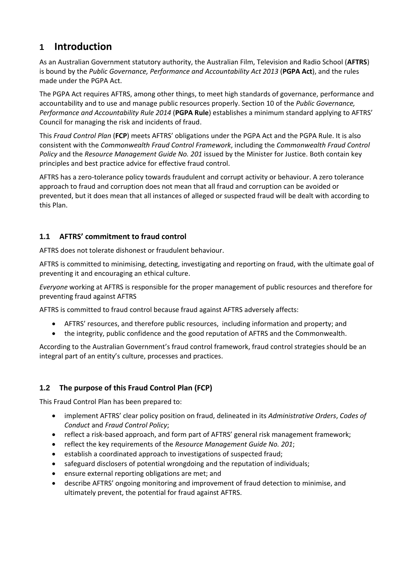# <span id="page-1-0"></span>**1 Introduction**

As an Australian Government statutory authority, the Australian Film, Television and Radio School (**AFTRS**) is bound by the *Public Governance, Performance and Accountability Act 2013* (**PGPA Act**), and the rules made under the PGPA Act.

The PGPA Act requires AFTRS, among other things, to meet high standards of governance, performance and accountability and to use and manage public resources properly. Section 10 of the *Public Governance, Performance and Accountability Rule 2014* (**PGPA Rule**) establishes a minimum standard applying to AFTRS' Council for managing the risk and incidents of fraud.

This *Fraud Control Plan* (**FCP**) meets AFTRS' obligations under the PGPA Act and the PGPA Rule. It is also consistent with the *Commonwealth Fraud Control Framework*, including the *Commonwealth Fraud Control Policy* and the *Resource Management Guide No. 201* issued by the Minister for Justice. Both contain key principles and best practice advice for effective fraud control.

AFTRS has a zero-tolerance policy towards fraudulent and corrupt activity or behaviour. A zero tolerance approach to fraud and corruption does not mean that all fraud and corruption can be avoided or prevented, but it does mean that all instances of alleged or suspected fraud will be dealt with according to this Plan.

# <span id="page-1-1"></span>**1.1 AFTRS' commitment to fraud control**

AFTRS does not tolerate dishonest or fraudulent behaviour.

AFTRS is committed to minimising, detecting, investigating and reporting on fraud, with the ultimate goal of preventing it and encouraging an ethical culture.

*Everyone* working at AFTRS is responsible for the proper management of public resources and therefore for preventing fraud against AFTRS

AFTRS is committed to fraud control because fraud against AFTRS adversely affects:

- AFTRS' resources, and therefore public resources, including information and property; and
- the integrity, public confidence and the good reputation of AFTRS and the Commonwealth.

According to the Australian Government's fraud control framework, fraud control strategies should be an integral part of an entity's culture, processes and practices.

# <span id="page-1-2"></span>**1.2 The purpose of this Fraud Control Plan (FCP)**

This Fraud Control Plan has been prepared to:

- implement AFTRS' clear policy position on fraud, delineated in its *Administrative Orders*, *Codes of Conduct* and *Fraud Control Policy*;
- reflect a risk-based approach, and form part of AFTRS' general risk management framework;
- reflect the key requirements of the *Resource Management Guide No. 201*;
- establish a coordinated approach to investigations of suspected fraud;
- safeguard disclosers of potential wrongdoing and the reputation of individuals;
- ensure external reporting obligations are met; and
- describe AFTRS' ongoing monitoring and improvement of fraud detection to minimise, and ultimately prevent, the potential for fraud against AFTRS.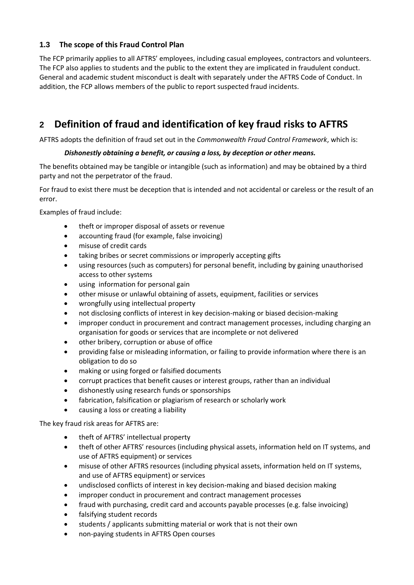# <span id="page-2-0"></span>**1.3 The scope of this Fraud Control Plan**

The FCP primarily applies to all AFTRS' employees, including casual employees, contractors and volunteers. The FCP also applies to students and the public to the extent they are implicated in fraudulent conduct. General and academic student misconduct is dealt with separately under the AFTRS Code of Conduct. In addition, the FCP allows members of the public to report suspected fraud incidents.

# <span id="page-2-1"></span>**2 Definition of fraud and identification of key fraud risks to AFTRS**

AFTRS adopts the definition of fraud set out in the *Commonwealth Fraud Control Framework*, which is:

# *Dishonestly obtaining a benefit, or causing a loss, by deception or other means.*

The benefits obtained may be tangible or intangible (such as information) and may be obtained by a third party and not the perpetrator of the fraud.

For fraud to exist there must be deception that is intended and not accidental or careless or the result of an error.

Examples of fraud include:

- theft or improper disposal of assets or revenue
- accounting fraud (for example, false invoicing)
- misuse of credit cards
- taking bribes or secret commissions or improperly accepting gifts
- using resources (such as computers) for personal benefit, including by gaining unauthorised access to other systems
- using information for personal gain
- other misuse or unlawful obtaining of assets, equipment, facilities or services
- wrongfully using intellectual property
- not disclosing conflicts of interest in key decision-making or biased decision-making
- improper conduct in procurement and contract management processes, including charging an organisation for goods or services that are incomplete or not delivered
- other bribery, corruption or abuse of office
- providing false or misleading information, or failing to provide information where there is an obligation to do so
- making or using forged or falsified documents
- corrupt practices that benefit causes or interest groups, rather than an individual
- dishonestly using research funds or sponsorships
- fabrication, falsification or plagiarism of research or scholarly work
- causing a loss or creating a liability

The key fraud risk areas for AFTRS are:

- theft of AFTRS' intellectual property
- theft of other AFTRS' resources (including physical assets, information held on IT systems, and use of AFTRS equipment) or services
- misuse of other AFTRS resources (including physical assets, information held on IT systems, and use of AFTRS equipment) or services
- undisclosed conflicts of interest in key decision-making and biased decision making
- improper conduct in procurement and contract management processes
- fraud with purchasing, credit card and accounts payable processes (e.g. false invoicing)
- falsifying student records
- students / applicants submitting material or work that is not their own
- non-paying students in AFTRS Open courses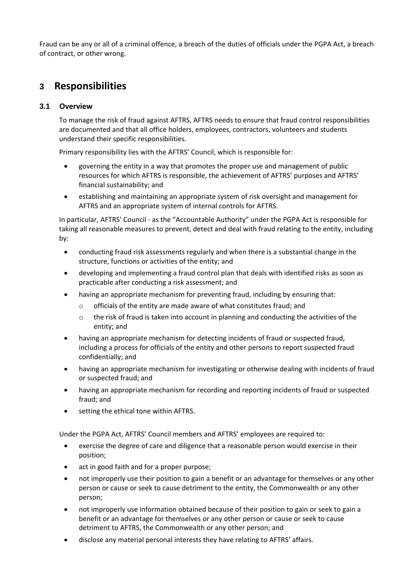Fraud can be any or all of a criminal offence, a breach of the duties of officials under the PGPA Act, a breach of contract, or other wrong.

# <span id="page-3-0"></span>**3 Responsibilities**

# <span id="page-3-1"></span>**3.1 Overview**

To manage the risk of fraud against AFTRS, AFTRS needs to ensure that fraud control responsibilities are documented and that all office holders, employees, contractors, volunteers and students understand their specific responsibilities.

Primary responsibility lies with the AFTRS' Council, which is responsible for:

- governing the entity in a way that promotes the proper use and management of public resources for which AFTRS is responsible, the achievement of AFTRS' purposes and AFTRS' financial sustainability; and
- establishing and maintaining an appropriate system of risk oversight and management for AFTRS and an appropriate system of internal controls for AFTRS.

In particular, AFTRS' Council - as the "Accountable Authority" under the PGPA Act is responsible for taking all reasonable measures to prevent, detect and deal with fraud relating to the entity, including by:

- conducting fraud risk assessments regularly and when there is a substantial change in the structure, functions or activities of the entity; and
- developing and implementing a fraud control plan that deals with identified risks as soon as practicable after conducting a risk assessment; and
- having an appropriate mechanism for preventing fraud, including by ensuring that:
	- o officials of the entity are made aware of what constitutes fraud; and
	- $\circ$  the risk of fraud is taken into account in planning and conducting the activities of the entity; and
- having an appropriate mechanism for detecting incidents of fraud or suspected fraud, including a process for officials of the entity and other persons to report suspected fraud confidentially; and
- having an appropriate mechanism for investigating or otherwise dealing with incidents of fraud or suspected fraud; and
- having an appropriate mechanism for recording and reporting incidents of fraud or suspected fraud; and
- setting the ethical tone within AFTRS.

Under the PGPA Act, AFTRS' Council members and AFTRS' employees are required to:

- exercise the degree of care and diligence that a reasonable person would exercise in their position;
- act in good faith and for a proper purpose;
- not improperly use their position to gain a benefit or an advantage for themselves or any other person or cause or seek to cause detriment to the entity, the Commonwealth or any other person;
- not improperly use information obtained because of their position to gain or seek to gain a benefit or an advantage for themselves or any other person or cause or seek to cause detriment to AFTRS, the Commonwealth or any other person; and
- disclose any material personal interests they have relating to AFTRS' affairs.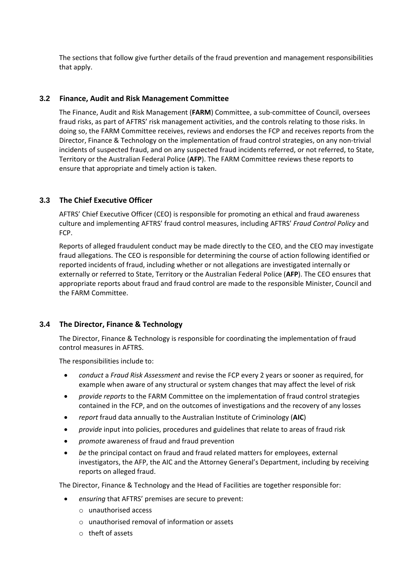The sections that follow give further details of the fraud prevention and management responsibilities that apply.

### <span id="page-4-0"></span>**3.2 Finance, Audit and Risk Management Committee**

The Finance, Audit and Risk Management (**FARM**) Committee, a sub-committee of Council, oversees fraud risks, as part of AFTRS' risk management activities, and the controls relating to those risks. In doing so, the FARM Committee receives, reviews and endorses the FCP and receives reports from the Director, Finance & Technology on the implementation of fraud control strategies, on any non-trivial incidents of suspected fraud, and on any suspected fraud incidents referred, or not referred, to State, Territory or the Australian Federal Police (**AFP**). The FARM Committee reviews these reports to ensure that appropriate and timely action is taken.

# <span id="page-4-1"></span>**3.3 The Chief Executive Officer**

AFTRS' Chief Executive Officer (CEO) is responsible for promoting an ethical and fraud awareness culture and implementing AFTRS' fraud control measures, including AFTRS' *Fraud Control Policy* and FCP.

Reports of alleged fraudulent conduct may be made directly to the CEO, and the CEO may investigate fraud allegations. The CEO is responsible for determining the course of action following identified or reported incidents of fraud, including whether or not allegations are investigated internally or externally or referred to State, Territory or the Australian Federal Police (**AFP**). The CEO ensures that appropriate reports about fraud and fraud control are made to the responsible Minister, Council and the FARM Committee.

# <span id="page-4-2"></span>**3.4 The Director, Finance & Technology**

The Director, Finance & Technology is responsible for coordinating the implementation of fraud control measures in AFTRS.

The responsibilities include to:

- *conduct* a *Fraud Risk Assessment* and revise the FCP every 2 years or sooner as required, for example when aware of any structural or system changes that may affect the level of risk
- *provide reports* to the FARM Committee on the implementation of fraud control strategies contained in the FCP, and on the outcomes of investigations and the recovery of any losses
- *report* fraud data annually to the Australian Institute of Criminology (**AIC**)
- *provide* input into policies, procedures and guidelines that relate to areas of fraud risk
- *promote* awareness of fraud and fraud prevention
- *be* the principal contact on fraud and fraud related matters for employees, external investigators, the AFP, the AIC and the Attorney General's Department, including by receiving reports on alleged fraud.

The Director, Finance & Technology and the Head of Facilities are together responsible for:

- *ensuring* that AFTRS' premises are secure to prevent:
	- o unauthorised access
	- o unauthorised removal of information or assets
	- o theft of assets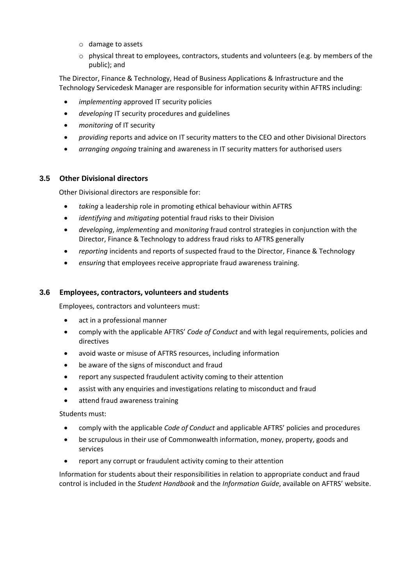- o damage to assets
- $\circ$  physical threat to employees, contractors, students and volunteers (e.g. by members of the public); and

The Director, Finance & Technology, Head of Business Applications & Infrastructure and the Technology Servicedesk Manager are responsible for information security within AFTRS including:

- *implementing* approved IT security policies
- *developing* IT security procedures and guidelines
- *monitoring* of IT security
- *providing* reports and advice on IT security matters to the CEO and other Divisional Directors
- *arranging ongoing* training and awareness in IT security matters for authorised users

#### <span id="page-5-0"></span>**3.5 Other Divisional directors**

Other Divisional directors are responsible for:

- *taking* a leadership role in promoting ethical behaviour within AFTRS
- *identifying* and *mitigating* potential fraud risks to their Division
- *developing*, *implementing* and *monitoring* fraud control strategies in conjunction with the Director, Finance & Technology to address fraud risks to AFTRS generally
- *reporting* incidents and reports of suspected fraud to the Director, Finance & Technology
- *ensuring* that employees receive appropriate fraud awareness training.

#### <span id="page-5-1"></span>**3.6 Employees, contractors, volunteers and students**

Employees, contractors and volunteers must:

- act in a professional manner
- comply with the applicable AFTRS' *Code of Conduct* and with legal requirements, policies and directives
- avoid waste or misuse of AFTRS resources, including information
- be aware of the signs of misconduct and fraud
- report any suspected fraudulent activity coming to their attention
- assist with any enquiries and investigations relating to misconduct and fraud
- attend fraud awareness training

Students must:

- comply with the applicable *Code of Conduct* and applicable AFTRS' policies and procedures
- be scrupulous in their use of Commonwealth information, money, property, goods and services
- report any corrupt or fraudulent activity coming to their attention

Information for students about their responsibilities in relation to appropriate conduct and fraud control is included in the *Student Handbook* and the *Information Guide*, available on AFTRS' website.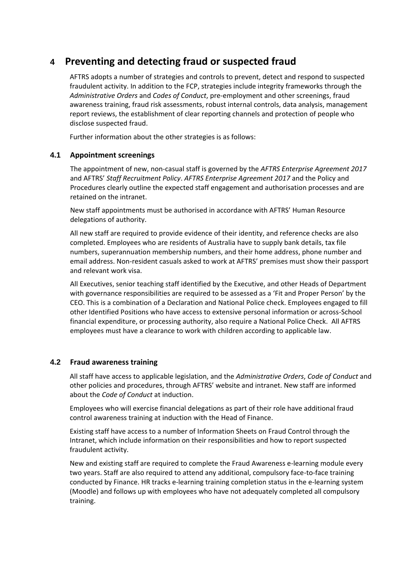# <span id="page-6-0"></span>**4 Preventing and detecting fraud or suspected fraud**

AFTRS adopts a number of strategies and controls to prevent, detect and respond to suspected fraudulent activity. In addition to the FCP, strategies include integrity frameworks through the *Administrative Orders* and *Codes of Conduct*, pre-employment and other screenings, fraud awareness training, fraud risk assessments, robust internal controls, data analysis, management report reviews, the establishment of clear reporting channels and protection of people who disclose suspected fraud.

Further information about the other strategies is as follows:

# <span id="page-6-1"></span>**4.1 Appointment screenings**

The appointment of new, non-casual staff is governed by the *AFTRS Enterprise Agreement 2017* and AFTRS' *Staff Recruitment Policy*. *AFTRS Enterprise Agreement 2017* and the Policy and Procedures clearly outline the expected staff engagement and authorisation processes and are retained on the intranet.

New staff appointments must be authorised in accordance with AFTRS' Human Resource delegations of authority.

All new staff are required to provide evidence of their identity, and reference checks are also completed. Employees who are residents of Australia have to supply bank details, tax file numbers, superannuation membership numbers, and their home address, phone number and email address. Non-resident casuals asked to work at AFTRS' premises must show their passport and relevant work visa.

All Executives, senior teaching staff identified by the Executive, and other Heads of Department with governance responsibilities are required to be assessed as a 'Fit and Proper Person' by the CEO. This is a combination of a Declaration and National Police check. Employees engaged to fill other Identified Positions who have access to extensive personal information or across-School financial expenditure, or processing authority, also require a National Police Check. All AFTRS employees must have a clearance to work with children according to applicable law.

# <span id="page-6-2"></span>**4.2 Fraud awareness training**

All staff have access to applicable legislation, and the *Administrative Orders*, *Code of Conduct* and other policies and procedures, through AFTRS' website and intranet. New staff are informed about the *Code of Conduct* at induction.

Employees who will exercise financial delegations as part of their role have additional fraud control awareness training at induction with the Head of Finance.

Existing staff have access to a number of Information Sheets on Fraud Control through the Intranet, which include information on their responsibilities and how to report suspected fraudulent activity.

New and existing staff are required to complete the Fraud Awareness e-learning module every two years. Staff are also required to attend any additional, compulsory face-to-face training conducted by Finance. HR tracks e-learning training completion status in the e-learning system (Moodle) and follows up with employees who have not adequately completed all compulsory training.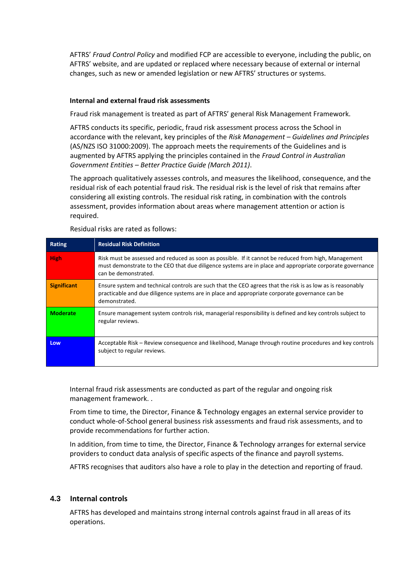AFTRS' *Fraud Control Policy* and modified FCP are accessible to everyone, including the public, on AFTRS' website, and are updated or replaced where necessary because of external or internal changes, such as new or amended legislation or new AFTRS' structures or systems.

#### **Internal and external fraud risk assessments**

Fraud risk management is treated as part of AFTRS' general Risk Management Framework.

AFTRS conducts its specific, periodic, fraud risk assessment process across the School in accordance with the relevant, key principles of the *Risk Management – Guidelines and Principles* (AS/NZS ISO 31000:2009). The approach meets the requirements of the Guidelines and is augmented by AFTRS applying the principles contained in the *Fraud Control in Australian Government Entities – Better Practice Guide (March 2011)*.

The approach qualitatively assesses controls, and measures the likelihood, consequence, and the residual risk of each potential fraud risk. The residual risk is the level of risk that remains after considering all existing controls. The residual risk rating, in combination with the controls assessment, provides information about areas where management attention or action is required.

| Rating             | <b>Residual Risk Definition</b>                                                                                                                                                                                                          |
|--------------------|------------------------------------------------------------------------------------------------------------------------------------------------------------------------------------------------------------------------------------------|
| <b>High</b>        | Risk must be assessed and reduced as soon as possible. If it cannot be reduced from high, Management<br>must demonstrate to the CEO that due diligence systems are in place and appropriate corporate governance<br>can be demonstrated. |
| <b>Significant</b> | Ensure system and technical controls are such that the CEO agrees that the risk is as low as is reasonably<br>practicable and due diligence systems are in place and appropriate corporate governance can be<br>demonstrated.            |
| <b>Moderate</b>    | Ensure management system controls risk, managerial responsibility is defined and key controls subject to<br>regular reviews.                                                                                                             |
| Low                | Acceptable Risk – Review consequence and likelihood, Manage through routine procedures and key controls<br>subject to regular reviews.                                                                                                   |

Residual risks are rated as follows:

Internal fraud risk assessments are conducted as part of the regular and ongoing risk management framework. .

From time to time, the Director, Finance & Technology engages an external service provider to conduct whole-of-School general business risk assessments and fraud risk assessments, and to provide recommendations for further action.

In addition, from time to time, the Director, Finance & Technology arranges for external service providers to conduct data analysis of specific aspects of the finance and payroll systems.

AFTRS recognises that auditors also have a role to play in the detection and reporting of fraud.

# <span id="page-7-0"></span>**4.3 Internal controls**

AFTRS has developed and maintains strong internal controls against fraud in all areas of its operations.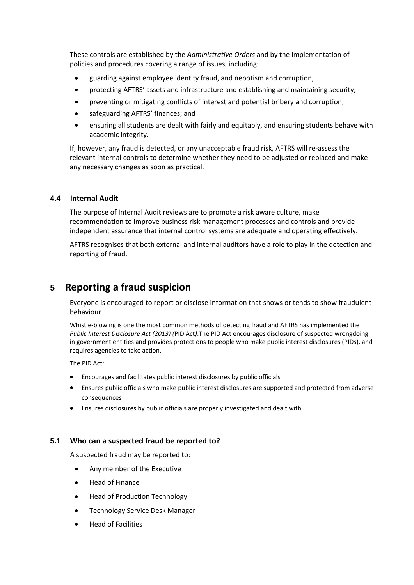These controls are established by the *Administrative Orders* and by the implementation of policies and procedures covering a range of issues, including:

- guarding against employee identity fraud, and nepotism and corruption;
- protecting AFTRS' assets and infrastructure and establishing and maintaining security;
- preventing or mitigating conflicts of interest and potential bribery and corruption;
- safeguarding AFTRS' finances; and
- ensuring all students are dealt with fairly and equitably, and ensuring students behave with academic integrity.

If, however, any fraud is detected, or any unacceptable fraud risk, AFTRS will re-assess the relevant internal controls to determine whether they need to be adjusted or replaced and make any necessary changes as soon as practical.

#### <span id="page-8-0"></span>**4.4 Internal Audit**

The purpose of Internal Audit reviews are to promote a risk aware culture, make recommendation to improve business risk management processes and controls and provide independent assurance that internal control systems are adequate and operating effectively.

AFTRS recognises that both external and internal auditors have a role to play in the detection and reporting of fraud.

# <span id="page-8-1"></span>**5 Reporting a fraud suspicion**

Everyone is encouraged to report or disclose information that shows or tends to show fraudulent behaviour.

Whistle-blowing is one the most common methods of detecting fraud and AFTRS has implemented the *Public Interest Disclosure Act (2013) (*PID Act*)*.The PID Act encourages disclosure of suspected wrongdoing in government entities and provides protections to people who make public interest disclosures (PIDs), and requires agencies to take action.

The PID Act:

- Encourages and facilitates public interest disclosures by public officials
- Ensures public officials who make public interest disclosures are supported and protected from adverse consequences
- Ensures disclosures by public officials are properly investigated and dealt with.

#### <span id="page-8-2"></span>**5.1 Who can a suspected fraud be reported to?**

A suspected fraud may be reported to:

- Any member of the Executive
- Head of Finance
- Head of Production Technology
- Technology Service Desk Manager
- Head of Facilities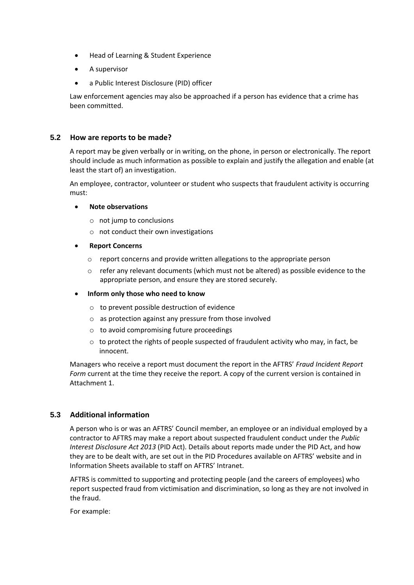- Head of Learning & Student Experience
- A supervisor
- a Public Interest Disclosure (PID) officer

Law enforcement agencies may also be approached if a person has evidence that a crime has been committed.

#### <span id="page-9-0"></span>**5.2 How are reports to be made?**

A report may be given verbally or in writing, on the phone, in person or electronically. The report should include as much information as possible to explain and justify the allegation and enable (at least the start of) an investigation.

An employee, contractor, volunteer or student who suspects that fraudulent activity is occurring must:

#### • **Note observations**

- o not jump to conclusions
- o not conduct their own investigations
- **Report Concerns**
	- o report concerns and provide written allegations to the appropriate person
	- $\circ$  refer any relevant documents (which must not be altered) as possible evidence to the appropriate person, and ensure they are stored securely.
- **Inform only those who need to know**
	- o to prevent possible destruction of evidence
	- o as protection against any pressure from those involved
	- o to avoid compromising future proceedings
	- $\circ$  to protect the rights of people suspected of fraudulent activity who may, in fact, be innocent.

Managers who receive a report must document the report in the AFTRS' *Fraud Incident Report Form* current at the time they receive the report. A copy of the current version is contained in Attachment 1.

#### <span id="page-9-1"></span>**5.3 Additional information**

A person who is or was an AFTRS' Council member, an employee or an individual employed by a contractor to AFTRS may make a report about suspected fraudulent conduct under the *Public Interest Disclosure Act 2013* (PID Act). Details about reports made under the PID Act, and how they are to be dealt with, are set out in the PID Procedures available on AFTRS' website and in Information Sheets available to staff on AFTRS' Intranet.

AFTRS is committed to supporting and protecting people (and the careers of employees) who report suspected fraud from victimisation and discrimination, so long as they are not involved in the fraud.

For example: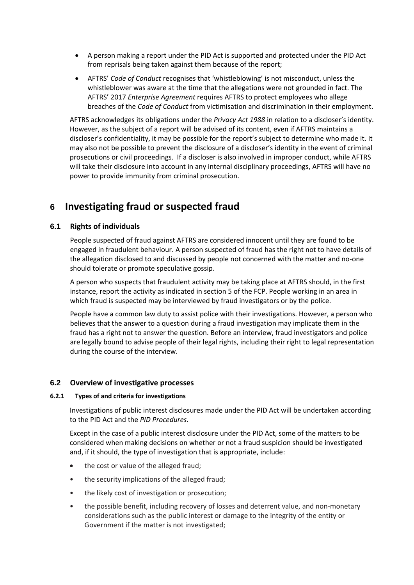- A person making a report under the PID Act is supported and protected under the PID Act from reprisals being taken against them because of the report;
- AFTRS' *Code of Conduct* recognises that 'whistleblowing' is not misconduct, unless the whistleblower was aware at the time that the allegations were not grounded in fact. The AFTRS' 2017 *Enterprise Agreement* requires AFTRS to protect employees who allege breaches of the *Code of Conduct* from victimisation and discrimination in their employment.

AFTRS acknowledges its obligations under the *Privacy Act 1988* in relation to a discloser's identity. However, as the subject of a report will be advised of its content, even if AFTRS maintains a discloser's confidentiality, it may be possible for the report's subject to determine who made it. It may also not be possible to prevent the disclosure of a discloser's identity in the event of criminal prosecutions or civil proceedings. If a discloser is also involved in improper conduct, while AFTRS will take their disclosure into account in any internal disciplinary proceedings, AFTRS will have no power to provide immunity from criminal prosecution.

# <span id="page-10-0"></span>**6 Investigating fraud or suspected fraud**

# <span id="page-10-1"></span>**6.1 Rights of individuals**

People suspected of fraud against AFTRS are considered innocent until they are found to be engaged in fraudulent behaviour. A person suspected of fraud has the right not to have details of the allegation disclosed to and discussed by people not concerned with the matter and no-one should tolerate or promote speculative gossip.

A person who suspects that fraudulent activity may be taking place at AFTRS should, in the first instance, report the activity as indicated in section 5 of the FCP. People working in an area in which fraud is suspected may be interviewed by fraud investigators or by the police.

People have a common law duty to assist police with their investigations. However, a person who believes that the answer to a question during a fraud investigation may implicate them in the fraud has a right not to answer the question. Before an interview, fraud investigators and police are legally bound to advise people of their legal rights, including their right to legal representation during the course of the interview.

#### <span id="page-10-2"></span>**6.2 Overview of investigative processes**

#### **6.2.1 Types of and criteria for investigations**

Investigations of public interest disclosures made under the PID Act will be undertaken according to the PID Act and the *PID Procedures*.

Except in the case of a public interest disclosure under the PID Act, some of the matters to be considered when making decisions on whether or not a fraud suspicion should be investigated and, if it should, the type of investigation that is appropriate, include:

- the cost or value of the alleged fraud;
- the security implications of the alleged fraud;
- the likely cost of investigation or prosecution;
- the possible benefit, including recovery of losses and deterrent value, and non-monetary considerations such as the public interest or damage to the integrity of the entity or Government if the matter is not investigated;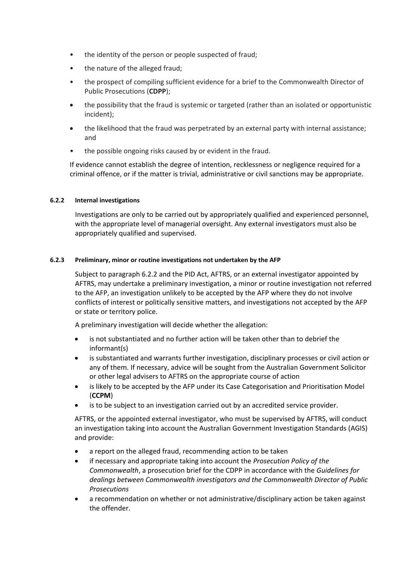- the identity of the person or people suspected of fraud;
- the nature of the alleged fraud;
- the prospect of compiling sufficient evidence for a brief to the Commonwealth Director of Public Prosecutions (**CDPP**);
- the possibility that the fraud is systemic or targeted (rather than an isolated or opportunistic incident);
- the likelihood that the fraud was perpetrated by an external party with internal assistance; and
- the possible ongoing risks caused by or evident in the fraud.

If evidence cannot establish the degree of intention, recklessness or negligence required for a criminal offence, or if the matter is trivial, administrative or civil sanctions may be appropriate.

#### **6.2.2 Internal investigations**

Investigations are only to be carried out by appropriately qualified and experienced personnel, with the appropriate level of managerial oversight. Any external investigators must also be appropriately qualified and supervised.

#### **6.2.3 Preliminary, minor or routine investigations not undertaken by the AFP**

Subject to paragraph 6.2.2 and the PID Act, AFTRS, or an external investigator appointed by AFTRS, may undertake a preliminary investigation, a minor or routine investigation not referred to the AFP, an investigation unlikely to be accepted by the AFP where they do not involve conflicts of interest or politically sensitive matters, and investigations not accepted by the AFP or state or territory police.

A preliminary investigation will decide whether the allegation:

- is not substantiated and no further action will be taken other than to debrief the informant(s)
- is substantiated and warrants further investigation, disciplinary processes or civil action or any of them. If necessary, advice will be sought from the Australian Government Solicitor or other legal advisers to AFTRS on the appropriate course of action
- is likely to be accepted by the AFP under its Case Categorisation and Prioritisation Model (**CCPM**)
- is to be subject to an investigation carried out by an accredited service provider.

AFTRS, or the appointed external investigator, who must be supervised by AFTRS, will conduct an investigation taking into account the Australian Government Investigation Standards (AGIS) and provide:

- a report on the alleged fraud, recommending action to be taken
- if necessary and appropriate taking into account the *Prosecution Policy of the Commonwealth*, a prosecution brief for the CDPP in accordance with the *Guidelines for dealings between Commonwealth investigators and the Commonwealth Director of Public Prosecutions*
- a recommendation on whether or not administrative/disciplinary action be taken against the offender.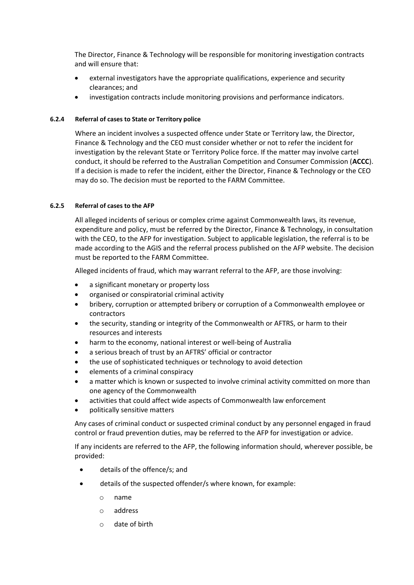The Director, Finance & Technology will be responsible for monitoring investigation contracts and will ensure that:

- external investigators have the appropriate qualifications, experience and security clearances; and
- investigation contracts include monitoring provisions and performance indicators.

#### **6.2.4 Referral of cases to State or Territory police**

Where an incident involves a suspected offence under State or Territory law, the Director, Finance & Technology and the CEO must consider whether or not to refer the incident for investigation by the relevant State or Territory Police force. If the matter may involve cartel conduct, it should be referred to the Australian Competition and Consumer Commission (**ACCC**). If a decision is made to refer the incident, either the Director, Finance & Technology or the CEO may do so. The decision must be reported to the FARM Committee.

#### **6.2.5 Referral of cases to the AFP**

All alleged incidents of serious or complex crime against Commonwealth laws, its revenue, expenditure and policy, must be referred by the Director, Finance & Technology, in consultation with the CEO, to the AFP for investigation. Subject to applicable legislation, the referral is to be made according to the AGIS and the referral process published on the AFP website. The decision must be reported to the FARM Committee.

Alleged incidents of fraud, which may warrant referral to the AFP, are those involving:

- a significant monetary or property loss
- organised or conspiratorial criminal activity
- bribery, corruption or attempted bribery or corruption of a Commonwealth employee or contractors
- the security, standing or integrity of the Commonwealth or AFTRS, or harm to their resources and interests
- harm to the economy, national interest or well-being of Australia
- a serious breach of trust by an AFTRS' official or contractor
- the use of sophisticated techniques or technology to avoid detection
- elements of a criminal conspiracy
- a matter which is known or suspected to involve criminal activity committed on more than one agency of the Commonwealth
- activities that could affect wide aspects of Commonwealth law enforcement
- politically sensitive matters

Any cases of criminal conduct or suspected criminal conduct by any personnel engaged in fraud control or fraud prevention duties, may be referred to the AFP for investigation or advice.

If any incidents are referred to the AFP, the following information should, wherever possible, be provided:

- details of the offence/s; and
- details of the suspected offender/s where known, for example:
	- o name
	- o address
	- o date of birth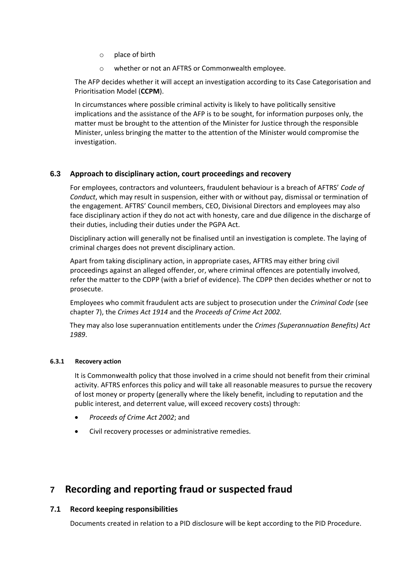- o place of birth
- o whether or not an AFTRS or Commonwealth employee.

The AFP decides whether it will accept an investigation according to its Case Categorisation and Prioritisation Model (**CCPM**).

In circumstances where possible criminal activity is likely to have politically sensitive implications and the assistance of the AFP is to be sought, for information purposes only, the matter must be brought to the attention of the Minister for Justice through the responsible Minister, unless bringing the matter to the attention of the Minister would compromise the investigation.

# <span id="page-13-0"></span>**6.3 Approach to disciplinary action, court proceedings and recovery**

For employees, contractors and volunteers, fraudulent behaviour is a breach of AFTRS' *Code of Conduct*, which may result in suspension, either with or without pay, dismissal or termination of the engagement. AFTRS' Council members, CEO, Divisional Directors and employees may also face disciplinary action if they do not act with honesty, care and due diligence in the discharge of their duties, including their duties under the PGPA Act.

Disciplinary action will generally not be finalised until an investigation is complete. The laying of criminal charges does not prevent disciplinary action.

Apart from taking disciplinary action, in appropriate cases, AFTRS may either bring civil proceedings against an alleged offender, or, where criminal offences are potentially involved, refer the matter to the CDPP (with a brief of evidence). The CDPP then decides whether or not to prosecute.

Employees who commit fraudulent acts are subject to prosecution under the *Criminal Code* (see chapter 7), the *Crimes Act 1914* and the *Proceeds of Crime Act 2002.*

They may also lose superannuation entitlements under the *Crimes (Superannuation Benefits) Act 1989*.

#### **6.3.1 Recovery action**

It is Commonwealth policy that those involved in a crime should not benefit from their criminal activity. AFTRS enforces this policy and will take all reasonable measures to pursue the recovery of lost money or property (generally where the likely benefit, including to reputation and the public interest, and deterrent value, will exceed recovery costs) through:

- *Proceeds of Crime Act 2002*; and
- Civil recovery processes or administrative remedies.

# <span id="page-13-1"></span>**7 Recording and reporting fraud or suspected fraud**

# <span id="page-13-2"></span>**7.1 Record keeping responsibilities**

Documents created in relation to a PID disclosure will be kept according to the PID Procedure.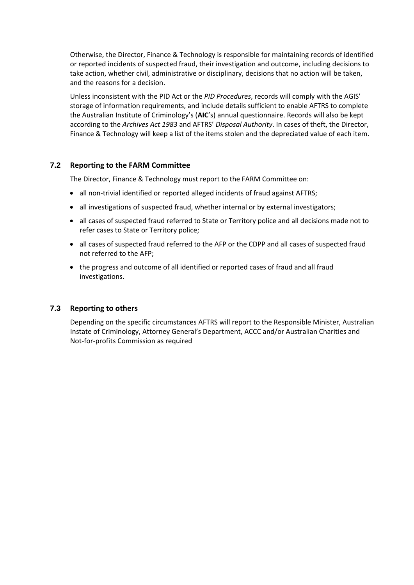Otherwise, the Director, Finance & Technology is responsible for maintaining records of identified or reported incidents of suspected fraud, their investigation and outcome, including decisions to take action, whether civil, administrative or disciplinary, decisions that no action will be taken, and the reasons for a decision.

Unless inconsistent with the PID Act or the *PID Procedures*, records will comply with the AGIS' storage of information requirements, and include details sufficient to enable AFTRS to complete the Australian Institute of Criminology's (**AIC**'s) annual questionnaire. Records will also be kept according to the *Archives Act 1983* and AFTRS' *Disposal Authority*. In cases of theft, the Director, Finance & Technology will keep a list of the items stolen and the depreciated value of each item.

#### <span id="page-14-0"></span>**7.2 Reporting to the FARM Committee**

The Director, Finance & Technology must report to the FARM Committee on:

- all non-trivial identified or reported alleged incidents of fraud against AFTRS;
- all investigations of suspected fraud, whether internal or by external investigators;
- all cases of suspected fraud referred to State or Territory police and all decisions made not to refer cases to State or Territory police;
- all cases of suspected fraud referred to the AFP or the CDPP and all cases of suspected fraud not referred to the AFP;
- the progress and outcome of all identified or reported cases of fraud and all fraud investigations.

#### <span id="page-14-1"></span>**7.3 Reporting to others**

Depending on the specific circumstances AFTRS will report to the Responsible Minister, Australian Instate of Criminology, Attorney General's Department, ACCC and/or Australian Charities and Not-for-profits Commission as required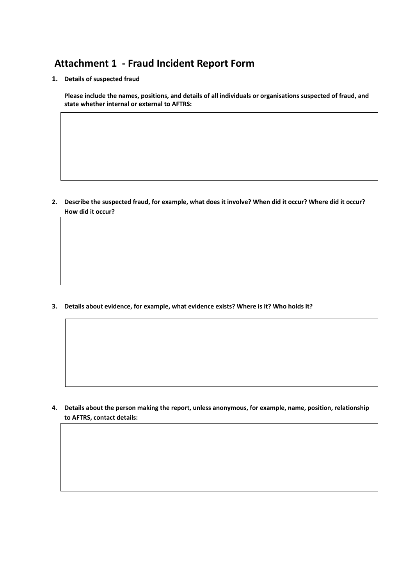# <span id="page-15-0"></span>**Attachment 1 - Fraud Incident Report Form**

**1. Details of suspected fraud**

**Please include the names, positions, and details of all individuals or organisations suspected of fraud, and state whether internal or external to AFTRS:**

**2. Describe the suspected fraud, for example, what does it involve? When did it occur? Where did it occur? How did it occur?** 

**3. Details about evidence, for example, what evidence exists? Where is it? Who holds it?**

**4. Details about the person making the report, unless anonymous, for example, name, position, relationship to AFTRS, contact details:**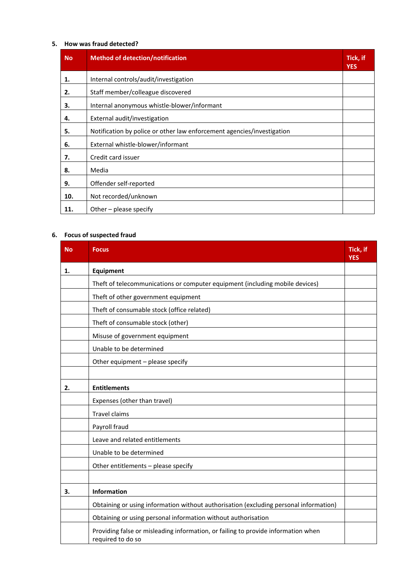#### **5. How was fraud detected?**

| <b>No</b> | <b>Method of detection/notification</b>                                | Tick, if<br><b>YES</b> |
|-----------|------------------------------------------------------------------------|------------------------|
| 1.        | Internal controls/audit/investigation                                  |                        |
| 2.        | Staff member/colleague discovered                                      |                        |
| З.        | Internal anonymous whistle-blower/informant                            |                        |
| 4.        | External audit/investigation                                           |                        |
| 5.        | Notification by police or other law enforcement agencies/investigation |                        |
| 6.        | External whistle-blower/informant                                      |                        |
| 7.        | Credit card issuer                                                     |                        |
| 8.        | Media                                                                  |                        |
| 9.        | Offender self-reported                                                 |                        |
| 10.       | Not recorded/unknown                                                   |                        |
| 11.       | Other $-$ please specify                                               |                        |

# **6. Focus of suspected fraud**

| <b>No</b> | <b>Focus</b>                                                                                           | Tick, if<br><b>YES</b> |
|-----------|--------------------------------------------------------------------------------------------------------|------------------------|
| 1.        | Equipment                                                                                              |                        |
|           | Theft of telecommunications or computer equipment (including mobile devices)                           |                        |
|           | Theft of other government equipment                                                                    |                        |
|           | Theft of consumable stock (office related)                                                             |                        |
|           | Theft of consumable stock (other)                                                                      |                        |
|           | Misuse of government equipment                                                                         |                        |
|           | Unable to be determined                                                                                |                        |
|           | Other equipment - please specify                                                                       |                        |
|           |                                                                                                        |                        |
| 2.        | <b>Entitlements</b>                                                                                    |                        |
|           | Expenses (other than travel)                                                                           |                        |
|           | <b>Travel claims</b>                                                                                   |                        |
|           | Payroll fraud                                                                                          |                        |
|           | Leave and related entitlements                                                                         |                        |
|           | Unable to be determined                                                                                |                        |
|           | Other entitlements - please specify                                                                    |                        |
|           |                                                                                                        |                        |
| 3.        | Information                                                                                            |                        |
|           | Obtaining or using information without authorisation (excluding personal information)                  |                        |
|           | Obtaining or using personal information without authorisation                                          |                        |
|           | Providing false or misleading information, or failing to provide information when<br>required to do so |                        |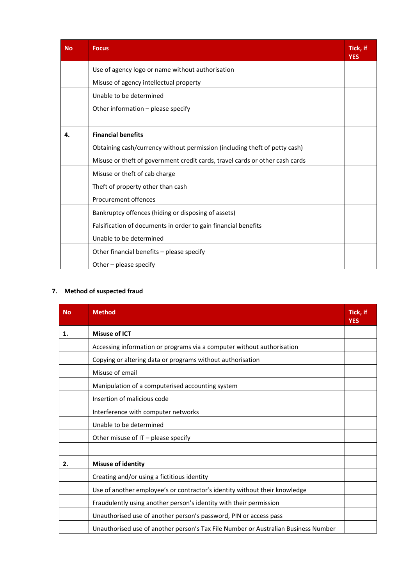| <b>No</b> | <b>Focus</b>                                                                 | Tick, if<br><b>YES</b> |
|-----------|------------------------------------------------------------------------------|------------------------|
|           | Use of agency logo or name without authorisation                             |                        |
|           | Misuse of agency intellectual property                                       |                        |
|           | Unable to be determined                                                      |                        |
|           | Other information - please specify                                           |                        |
|           |                                                                              |                        |
| 4.        | <b>Financial benefits</b>                                                    |                        |
|           | Obtaining cash/currency without permission (including theft of petty cash)   |                        |
|           | Misuse or theft of government credit cards, travel cards or other cash cards |                        |
|           | Misuse or theft of cab charge                                                |                        |
|           | Theft of property other than cash                                            |                        |
|           | <b>Procurement offences</b>                                                  |                        |
|           | Bankruptcy offences (hiding or disposing of assets)                          |                        |
|           | Falsification of documents in order to gain financial benefits               |                        |
|           | Unable to be determined                                                      |                        |
|           | Other financial benefits - please specify                                    |                        |
|           | Other - please specify                                                       |                        |

#### **7. Method of suspected fraud**

| <b>No</b> | <b>Method</b>                                                                      | Tick, if<br><b>YES</b> |
|-----------|------------------------------------------------------------------------------------|------------------------|
| 1.        | <b>Misuse of ICT</b>                                                               |                        |
|           | Accessing information or programs via a computer without authorisation             |                        |
|           | Copying or altering data or programs without authorisation                         |                        |
|           | Misuse of email                                                                    |                        |
|           | Manipulation of a computerised accounting system                                   |                        |
|           | Insertion of malicious code                                                        |                        |
|           | Interference with computer networks                                                |                        |
|           | Unable to be determined                                                            |                        |
|           | Other misuse of $IT$ – please specify                                              |                        |
|           |                                                                                    |                        |
| 2.        | <b>Misuse of identity</b>                                                          |                        |
|           | Creating and/or using a fictitious identity                                        |                        |
|           | Use of another employee's or contractor's identity without their knowledge         |                        |
|           | Fraudulently using another person's identity with their permission                 |                        |
|           | Unauthorised use of another person's password, PIN or access pass                  |                        |
|           | Unauthorised use of another person's Tax File Number or Australian Business Number |                        |